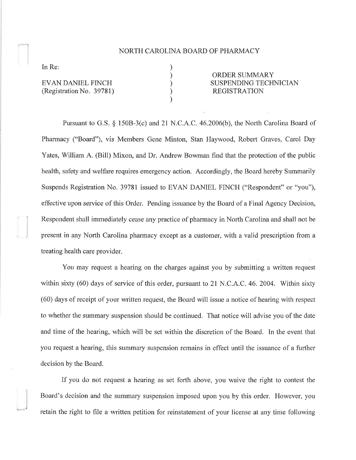## NORTH CAROLINA BOARD OF PHARMACY

) ) ) ) )

In Re:

)

EVAN DANIEL FINCH (Registration No. 3978 1)

ORDER SUMMARY SUSPENDING TECHNICIAN REGISTRATION

Pursuant to G.S.  $\S$  150B-3(c) and 21 N.C.A.C. 46.2006(b), the North Carolina Board of Pharmacy ("Board"), vis Members Gene Minton, Stan Haywood, Robert Graves, Carol Day Yates, William A. (Bill) Mixon, and Dr. Andrew Bowman find that the protection of the public health, safety and welfare requires emergency action. Accordingly, the Board hereby Summarily Suspends Registration No. 39781 issued to EVAN DANIEL FINCH ("Respondent" or "you"), effective upon service of this Order. Pending issuance by the Board of a Final Agency Decision, Respondent shall immediately cease any practice of pharmacy in North Carolina and shall not be present in any North Carolina pharmacy except as a customer, with a valid prescription from a treating health care provider.

You may request a hearing on the charges against you by submitting a written request within sixty (60) days of service of this order, pursuant to 21 N.C.A.C. 46. 2004. Within sixty (60) days of receipt of your written request, the Board will issue a notice of hearing with respect to whether the summary suspension should be continued. That notice will advise you of the date and time of the hearing, which will be set within the discretion of the Board. In the event that you request a hearing, this summary suspension remains in effect until the issuance of a further decision by the Board.

If you do not request a hearing as set forth above, you waive the right to contest the Board's decision and the summary suspension imposed upon you by this order. However, you retain the right to file a written petition for reinstatement of your license at any time following